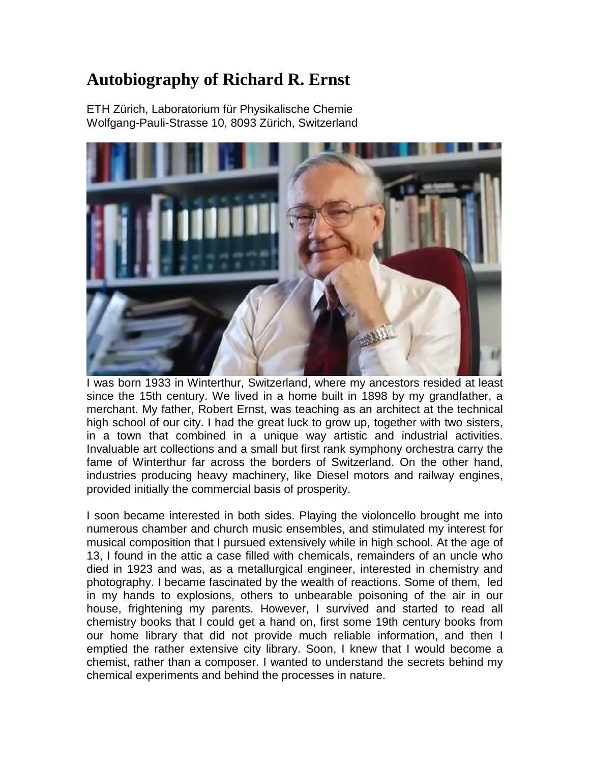## **Autobiography of Richard R. Ernst**

ETH Zürich, Laboratorium für Physikalische Chemie Wolfgang-Pauli-Strasse 10, 8093 Zürich, Switzerland



I was born 1933 in Winterthur, Switzerland, where my ancestors resided at least since the 15th century. We lived in a home built in 1898 by my grandfather, a merchant. My father, Robert Ernst, was teaching as an architect at the technical high school of our city. I had the great luck to grow up, together with two sisters, in a town that combined in a unique way artistic and industrial activities. Invaluable art collections and a small but first rank symphony orchestra carry the fame of Winterthur far across the borders of Switzerland. On the other hand, industries producing heavy machinery, like Diesel motors and railway engines, provided initially the commercial basis of prosperity.

I soon became interested in both sides. Playing the violoncello brought me into numerous chamber and church music ensembles, and stimulated my interest for musical composition that I pursued extensively while in high school. At the age of 13, I found in the attic a case filled with chemicals, remainders of an uncle who died in 1923 and was, as a metallurgical engineer, interested in chemistry and photography. I became fascinated by the wealth of reactions. Some of them, led in my hands to explosions, others to unbearable poisoning of the air in our house, frightening my parents. However, I survived and started to read all chemistry books that I could get a hand on, first some 19th century books from our home library that did not provide much reliable information, and then I emptied the rather extensive city library. Soon, I knew that I would become a chemist, rather than a composer. I wanted to understand the secrets behind my chemical experiments and behind the processes in nature.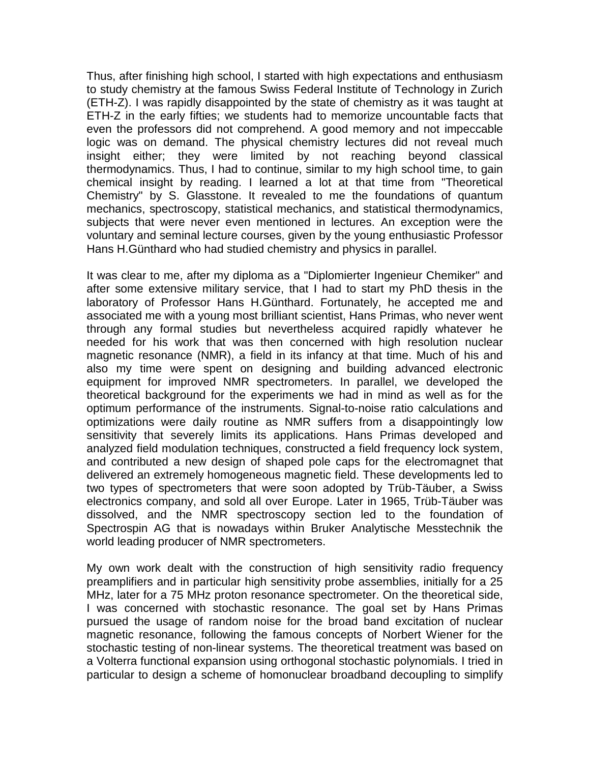Thus, after finishing high school, I started with high expectations and enthusiasm to study chemistry at the famous Swiss Federal Institute of Technology in Zurich (ETH-Z). I was rapidly disappointed by the state of chemistry as it was taught at ETH-Z in the early fifties; we students had to memorize uncountable facts that even the professors did not comprehend. A good memory and not impeccable logic was on demand. The physical chemistry lectures did not reveal much insight either; they were limited by not reaching beyond classical thermodynamics. Thus, I had to continue, similar to my high school time, to gain chemical insight by reading. I learned a lot at that time from "Theoretical Chemistry" by S. Glasstone. It revealed to me the foundations of quantum mechanics, spectroscopy, statistical mechanics, and statistical thermodynamics, subjects that were never even mentioned in lectures. An exception were the voluntary and seminal lecture courses, given by the young enthusiastic Professor Hans H.Günthard who had studied chemistry and physics in parallel.

It was clear to me, after my diploma as a "Diplomierter Ingenieur Chemiker" and after some extensive military service, that I had to start my PhD thesis in the laboratory of Professor Hans H.Günthard. Fortunately, he accepted me and associated me with a young most brilliant scientist, Hans Primas, who never went through any formal studies but nevertheless acquired rapidly whatever he needed for his work that was then concerned with high resolution nuclear magnetic resonance (NMR), a field in its infancy at that time. Much of his and also my time were spent on designing and building advanced electronic equipment for improved NMR spectrometers. In parallel, we developed the theoretical background for the experiments we had in mind as well as for the optimum performance of the instruments. Signal-to-noise ratio calculations and optimizations were daily routine as NMR suffers from a disappointingly low sensitivity that severely limits its applications. Hans Primas developed and analyzed field modulation techniques, constructed a field frequency lock system, and contributed a new design of shaped pole caps for the electromagnet that delivered an extremely homogeneous magnetic field. These developments led to two types of spectrometers that were soon adopted by Trüb-Täuber, a Swiss electronics company, and sold all over Europe. Later in 1965, Trüb-Täuber was dissolved, and the NMR spectroscopy section led to the foundation of Spectrospin AG that is nowadays within Bruker Analytische Messtechnik the world leading producer of NMR spectrometers.

My own work dealt with the construction of high sensitivity radio frequency preamplifiers and in particular high sensitivity probe assemblies, initially for a 25 MHz, later for a 75 MHz proton resonance spectrometer. On the theoretical side, I was concerned with stochastic resonance. The goal set by Hans Primas pursued the usage of random noise for the broad band excitation of nuclear magnetic resonance, following the famous concepts of Norbert Wiener for the stochastic testing of non-linear systems. The theoretical treatment was based on a Volterra functional expansion using orthogonal stochastic polynomials. I tried in particular to design a scheme of homonuclear broadband decoupling to simplify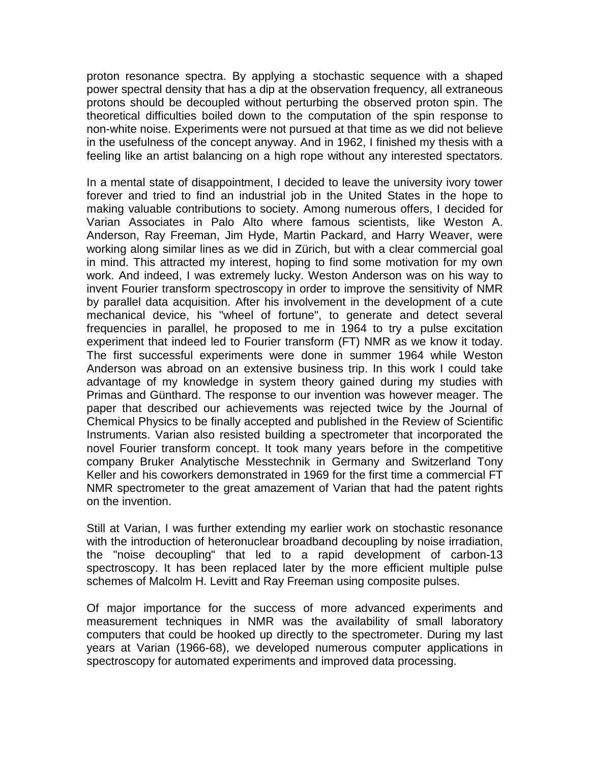proton resonance spectra. By applying a stochastic sequence with a shaped power spectral density that has a dip at the observation frequency, all extraneous protons should be decoupled without perturbing the observed proton spin. The theoretical difficulties boiled down to the computation of the spin response to non-white noise. Experiments were not pursued at that time as we did not believe in the usefulness of the concept anyway. And in 1962, I finished my thesis with a feeling like an artist balancing on a high rope without any interested spectators.

In a mental state of disappointment, I decided to leave the university ivory tower forever and tried to find an industrial job in the United States in the hope to making valuable contributions to society. Among numerous offers, I decided for Varian Associates in Palo Alto where famous scientists, like Weston A. Anderson, Ray Freeman, Jim Hyde, Martin Packard, and Harry Weaver, were working along similar lines as we did in Zürich, but with a clear commercial goal in mind. This attracted my interest, hoping to find some motivation for my own work. And indeed, I was extremely lucky. Weston Anderson was on his way to invent Fourier transform spectroscopy in order to improve the sensitivity of NMR by parallel data acquisition. After his involvement in the development of a cute mechanical device, his "wheel of fortune", to generate and detect several frequencies in parallel, he proposed to me in 1964 to try a pulse excitation experiment that indeed led to Fourier transform (FT) NMR as we know it today. The first successful experiments were done in summer 1964 while Weston Anderson was abroad on an extensive business trip. In this work I could take advantage of my knowledge in system theory gained during my studies with Primas and Günthard. The response to our invention was however meager. The paper that described our achievements was rejected twice by the Journal of Chemical Physics to be finally accepted and published in the Review of Scientific Instruments. Varian also resisted building a spectrometer that incorporated the novel Fourier transform concept. It took many years before in the competitive company Bruker Analytische Messtechnik in Germany and Switzerland Tony Keller and his coworkers demonstrated in 1969 for the first time a commercial FT NMR spectrometer to the great amazement of Varian that had the patent rights on the invention.

Still at Varian, I was further extending my earlier work on stochastic resonance with the introduction of heteronuclear broadband decoupling by noise irradiation, the "noise decoupling" that led to a rapid development of carbon-13 spectroscopy. It has been replaced later by the more efficient multiple pulse schemes of Malcolm H. Levitt and Ray Freeman using composite pulses.

Of major importance for the success of more advanced experiments and measurement techniques in NMR was the availability of small laboratory computers that could be hooked up directly to the spectrometer. During my last years at Varian (1966-68), we developed numerous computer applications in spectroscopy for automated experiments and improved data processing.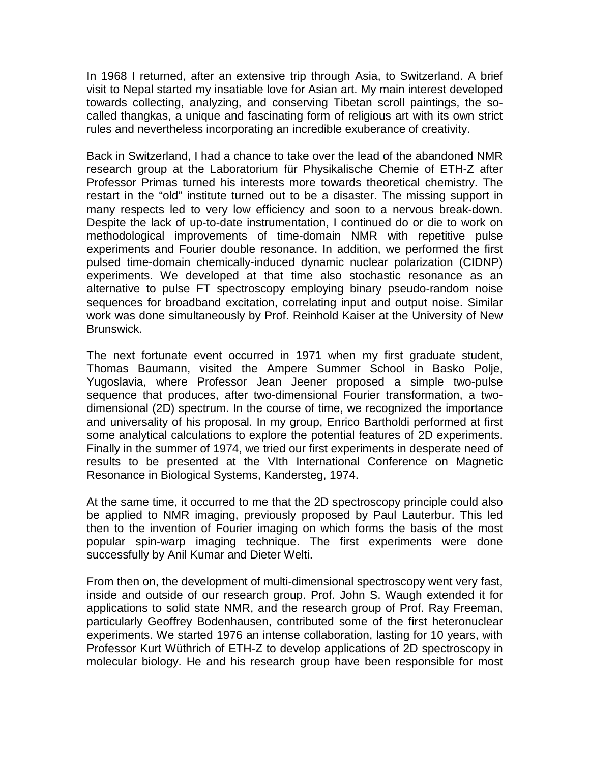In 1968 I returned, after an extensive trip through Asia, to Switzerland. A brief visit to Nepal started my insatiable love for Asian art. My main interest developed towards collecting, analyzing, and conserving Tibetan scroll paintings, the socalled thangkas, a unique and fascinating form of religious art with its own strict rules and nevertheless incorporating an incredible exuberance of creativity.

Back in Switzerland, I had a chance to take over the lead of the abandoned NMR research group at the Laboratorium für Physikalische Chemie of ETH-Z after Professor Primas turned his interests more towards theoretical chemistry. The restart in the "old" institute turned out to be a disaster. The missing support in many respects led to very low efficiency and soon to a nervous break-down. Despite the lack of up-to-date instrumentation, I continued do or die to work on methodological improvements of time-domain NMR with repetitive pulse experiments and Fourier double resonance. In addition, we performed the first pulsed time-domain chemically-induced dynamic nuclear polarization (CIDNP) experiments. We developed at that time also stochastic resonance as an alternative to pulse FT spectroscopy employing binary pseudo-random noise sequences for broadband excitation, correlating input and output noise. Similar work was done simultaneously by Prof. Reinhold Kaiser at the University of New Brunswick.

The next fortunate event occurred in 1971 when my first graduate student, Thomas Baumann, visited the Ampere Summer School in Basko Polje, Yugoslavia, where Professor Jean Jeener proposed a simple two-pulse sequence that produces, after two-dimensional Fourier transformation, a twodimensional (2D) spectrum. In the course of time, we recognized the importance and universality of his proposal. In my group, Enrico Bartholdi performed at first some analytical calculations to explore the potential features of 2D experiments. Finally in the summer of 1974, we tried our first experiments in desperate need of results to be presented at the VIth International Conference on Magnetic Resonance in Biological Systems, Kandersteg, 1974.

At the same time, it occurred to me that the 2D spectroscopy principle could also be applied to NMR imaging, previously proposed by Paul Lauterbur. This led then to the invention of Fourier imaging on which forms the basis of the most popular spin-warp imaging technique. The first experiments were done successfully by Anil Kumar and Dieter Welti.

From then on, the development of multi-dimensional spectroscopy went very fast, inside and outside of our research group. Prof. John S. Waugh extended it for applications to solid state NMR, and the research group of Prof. Ray Freeman, particularly Geoffrey Bodenhausen, contributed some of the first heteronuclear experiments. We started 1976 an intense collaboration, lasting for 10 years, with Professor Kurt Wüthrich of ETH-Z to develop applications of 2D spectroscopy in molecular biology. He and his research group have been responsible for most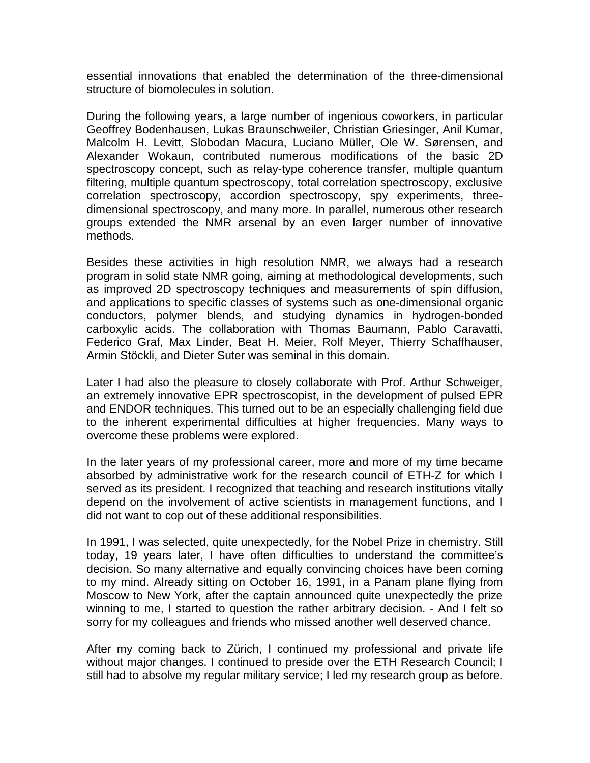essential innovations that enabled the determination of the three-dimensional structure of biomolecules in solution.

During the following years, a large number of ingenious coworkers, in particular Geoffrey Bodenhausen, Lukas Braunschweiler, Christian Griesinger, Anil Kumar, Malcolm H. Levitt, Slobodan Macura, Luciano Müller, Ole W. Sørensen, and Alexander Wokaun, contributed numerous modifications of the basic 2D spectroscopy concept, such as relay-type coherence transfer, multiple quantum filtering, multiple quantum spectroscopy, total correlation spectroscopy, exclusive correlation spectroscopy, accordion spectroscopy, spy experiments, threedimensional spectroscopy, and many more. In parallel, numerous other research groups extended the NMR arsenal by an even larger number of innovative methods.

Besides these activities in high resolution NMR, we always had a research program in solid state NMR going, aiming at methodological developments, such as improved 2D spectroscopy techniques and measurements of spin diffusion, and applications to specific classes of systems such as one-dimensional organic conductors, polymer blends, and studying dynamics in hydrogen-bonded carboxylic acids. The collaboration with Thomas Baumann, Pablo Caravatti, Federico Graf, Max Linder, Beat H. Meier, Rolf Meyer, Thierry Schaffhauser, Armin Stöckli, and Dieter Suter was seminal in this domain.

Later I had also the pleasure to closely collaborate with Prof. Arthur Schweiger, an extremely innovative EPR spectroscopist, in the development of pulsed EPR and ENDOR techniques. This turned out to be an especially challenging field due to the inherent experimental difficulties at higher frequencies. Many ways to overcome these problems were explored.

In the later years of my professional career, more and more of my time became absorbed by administrative work for the research council of ETH-Z for which I served as its president. I recognized that teaching and research institutions vitally depend on the involvement of active scientists in management functions, and I did not want to cop out of these additional responsibilities.

In 1991, I was selected, quite unexpectedly, for the Nobel Prize in chemistry. Still today, 19 years later, I have often difficulties to understand the committee's decision. So many alternative and equally convincing choices have been coming to my mind. Already sitting on October 16, 1991, in a Panam plane flying from Moscow to New York, after the captain announced quite unexpectedly the prize winning to me, I started to question the rather arbitrary decision. - And I felt so sorry for my colleagues and friends who missed another well deserved chance.

After my coming back to Zürich, I continued my professional and private life without major changes. I continued to preside over the ETH Research Council; I still had to absolve my regular military service; I led my research group as before.